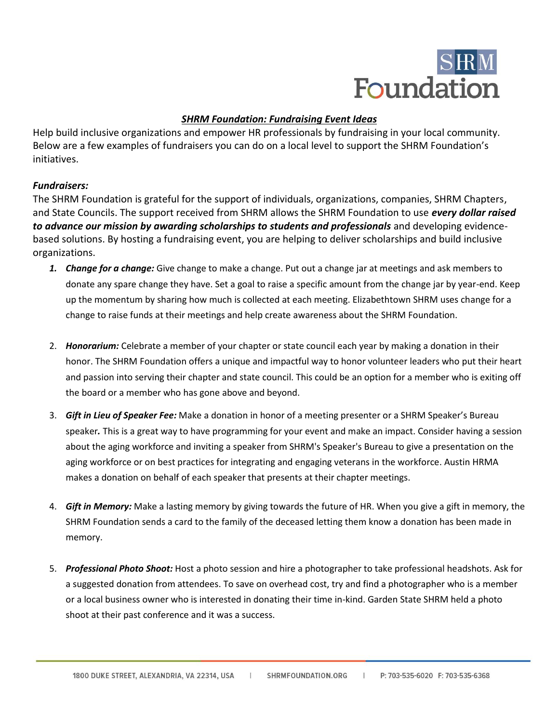

# *SHRM Foundation: Fundraising Event Ideas*

Help build inclusive organizations and empower HR professionals by fundraising in your local community. Below are a few examples of fundraisers you can do on a local level to support the SHRM Foundation's initiatives.

# *Fundraisers:*

The SHRM Foundation is grateful for the support of individuals, organizations, companies, SHRM Chapters, and State Councils. The support received from SHRM allows the SHRM Foundation to use *every dollar raised to advance our mission by awarding scholarships to students and professionals* and developing evidencebased solutions. By hosting a fundraising event, you are helping to deliver scholarships and build inclusive organizations.

- *1. Change for a change:* Give change to make a change. Put out a change jar at meetings and ask members to donate any spare change they have. Set a goal to raise a specific amount from the change jar by year-end. Keep up the momentum by sharing how much is collected at each meeting. Elizabethtown SHRM uses change for a change to raise funds at their meetings and help create awareness about the SHRM Foundation.
- 2. *Honorarium:* Celebrate a member of your chapter or state council each year by making a donation in their honor. The SHRM Foundation offers a unique and impactful way to honor volunteer leaders who put their heart and passion into serving their chapter and state council. This could be an option for a member who is exiting off the board or a member who has gone above and beyond.
- 3. *Gift in Lieu of Speaker Fee:* Make a donation in honor of a meeting presenter or a SHRM Speaker's Bureau speaker*.* This is a great way to have programming for your event and make an impact. Consider having a session about the aging workforce and inviting a speaker from SHRM's Speaker's Bureau to give a presentation on the aging workforce or on best practices for integrating and engaging veterans in the workforce. Austin HRMA makes a donation on behalf of each speaker that presents at their chapter meetings.
- 4. *Gift in Memory:* Make a lasting memory by giving towards the future of HR. When you give a gift in memory, the SHRM Foundation sends a card to the family of the deceased letting them know a donation has been made in memory.
- 5. *Professional Photo Shoot:* Host a photo session and hire a photographer to take professional headshots. Ask for a suggested donation from attendees. To save on overhead cost, try and find a photographer who is a member or a local business owner who is interested in donating their time in-kind. Garden State SHRM held a photo shoot at their past conference and it was a success.